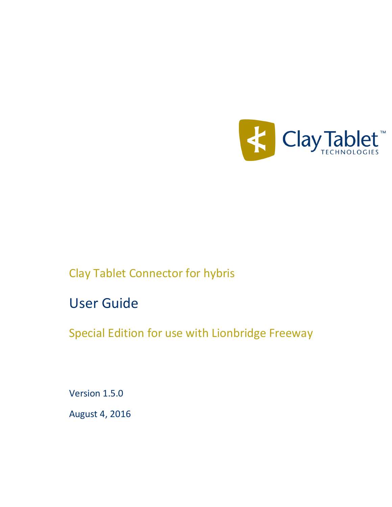

Clay Tablet Connector for hybris

User Guide

Special Edition for use with Lionbridge Freeway

Version 1.5.0

August 4, 2016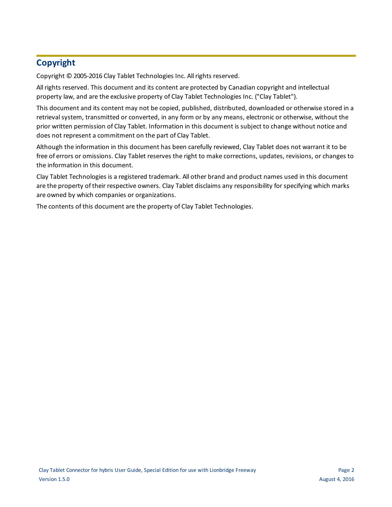# **Copyright**

Copyright © 2005-2016 Clay Tablet Technologies Inc. All rights reserved.

All rights reserved. This document and its content are protected by Canadian copyright and intellectual property law, and are the exclusive property of Clay Tablet Technologies Inc. ("Clay Tablet").

This document and its content may not be copied, published, distributed, downloaded or otherwise stored in a retrieval system, transmitted or converted, in any form or by any means, electronic or otherwise, without the prior written permission of Clay Tablet. Information in this document is subject to change without notice and does not represent a commitment on the part of Clay Tablet.

Although the information in this document has been carefully reviewed, Clay Tablet does not warrant it to be free of errors or omissions. Clay Tablet reserves the right to make corrections, updates, revisions, or changes to the information in this document.

Clay Tablet Technologies is a registered trademark. All other brand and product names used in this document are the property of their respective owners. Clay Tablet disclaims any responsibility for specifying which marks are owned by which companies or organizations.

The contents of this document are the property of Clay Tablet Technologies.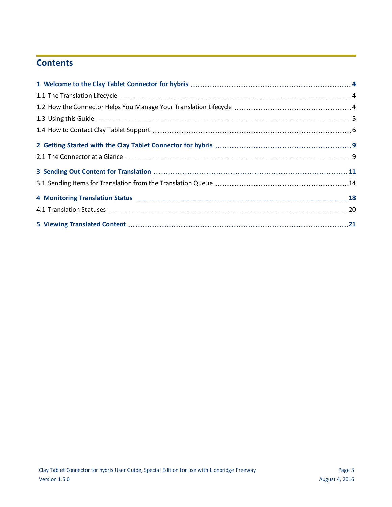# **Contents**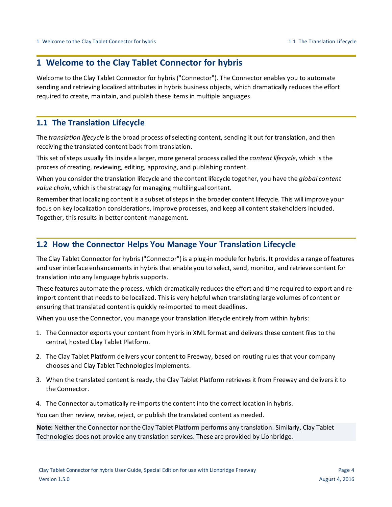# <span id="page-3-0"></span>**1 Welcome to the Clay Tablet Connector for hybris**

Welcome to the Clay Tablet Connector for hybris ("Connector"). The Connector enables you to automate sending and retrieving localized attributes in hybris business objects, which dramatically reduces the effort required to create, maintain, and publish these items in multiple languages.

## <span id="page-3-1"></span>**1.1 The Translation Lifecycle**

The *translation lifecycle* is the broad process ofselecting content, sending it out for translation, and then receiving the translated content back from translation.

This set of steps usually fits inside a larger, more general process called the *content lifecycle*, which is the process of creating, reviewing, editing, approving, and publishing content.

When you consider the translation lifecycle and the content lifecycle together, you have the *global content value chain*, which is the strategy for managing multilingual content.

Remember that localizing content is a subset of steps in the broader content lifecycle. This will improve your focus on key localization considerations, improve processes, and keep all content stakeholders included. Together, this results in better content management.

## <span id="page-3-2"></span>**1.2 How the Connector Helps You Manage Your Translation Lifecycle**

The Clay Tablet Connector for hybris ("Connector") is a plug-in module for hybris. It provides a range of features and user interface enhancements in hybris that enable you to select, send, monitor, and retrieve content for translation into any language hybris supports.

These features automate the process, which dramatically reduces the effort and time required to export and reimport content that needs to be localized. This is very helpful when translating large volumes of content or ensuring that translated content is quickly re-imported to meet deadlines.

When you use the Connector, you manage your translation lifecycle entirely from within hybris:

- 1. The Connector exports your content from hybris in XML format and delivers these content files to the central, hosted Clay Tablet Platform.
- 2. The Clay Tablet Platform delivers your content to Freeway, based on routing rules that your company chooses and Clay Tablet Technologies implements.
- 3. When the translated content is ready, the Clay Tablet Platform retrieves it from Freeway and delivers it to the Connector.
- 4. The Connector automatically re-imports the content into the correct location in hybris.

You can then review, revise, reject, or publish the translated content as needed.

**Note:** Neither the Connector nor the Clay Tablet Platform performs any translation. Similarly, Clay Tablet Technologies does not provide any translation services. These are provided by Lionbridge.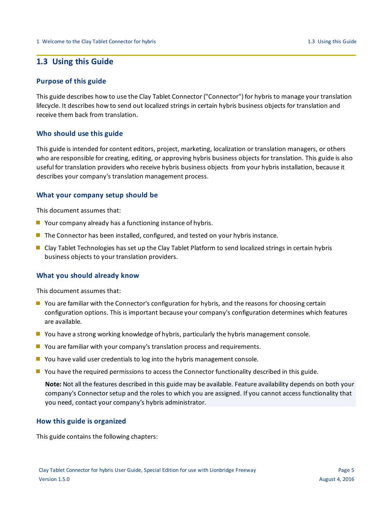## <span id="page-4-0"></span>**1.3 Using this Guide**

### **Purpose of this guide**

This guide describes how to use the Clay Tablet Connector ("Connector") for hybris to manage your translation lifecycle. It describes how to send out localized strings in certain hybris business objects for translation and receive them back from translation.

### **Who should use this guide**

This guide is intended for content editors, project, marketing, localization or translation managers, or others who are responsible for creating, editing, or approving hybris business objects for translation. This guide is also useful for translation providers who receive hybris business objects from your hybris installation, because it describes your company's translation management process.

### **What your company setup should be**

This document assumes that:

- $\blacksquare$  Your company already has a functioning instance of hybris.
- **The Connector has been installed, configured, and tested on your hybris instance.**
- Clay Tablet Technologies has set up the Clay Tablet Platform to send localized strings in certain hybris business objects to your translation providers.

### **What you should already know**

This document assumes that:

- You are familiar with the Connector's configuration for hybris, and the reasons for choosing certain configuration options. This is important because your company's configuration determines which features are available.
- **P** You have a strong working knowledge of hybris, particularly the hybris management console.
- **D** You are familiar with your company's translation process and requirements.
- You have valid user credentials to log into the hybris management console.
- **P** You have the required permissions to access the Connector functionality described in this guide.

**Note:** Not all the features described in this guide may be available. Feature availability depends on both your company's Connector setup and the roles to which you are assigned. If you cannot access functionality that you need, contact your company's hybris administrator.

### **How this guide is organized**

This guide contains the following chapters: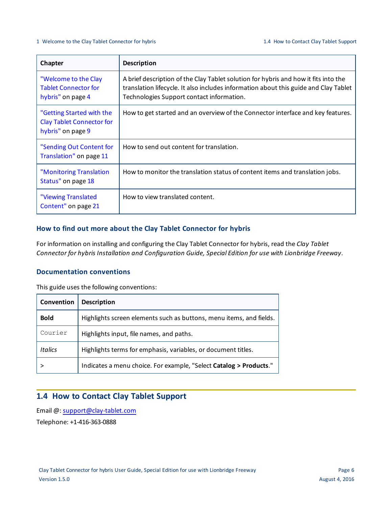### 1 Welcome to the Clay Tablet Connector for hybris 1.4 How to Contact Clay Tablet Support

| Chapter                                                                            | <b>Description</b>                                                                                                                                                                                                       |
|------------------------------------------------------------------------------------|--------------------------------------------------------------------------------------------------------------------------------------------------------------------------------------------------------------------------|
| "Welcome to the Clay<br><b>Tablet Connector for</b><br>hybris" on page 4           | A brief description of the Clay Tablet solution for hybris and how it fits into the<br>translation lifecycle. It also includes information about this guide and Clay Tablet<br>Technologies Support contact information. |
| "Getting Started with the<br><b>Clay Tablet Connector for</b><br>hybris" on page 9 | How to get started and an overview of the Connector interface and key features.                                                                                                                                          |
| "Sending Out Content for<br>Translation" on page 11                                | How to send out content for translation.                                                                                                                                                                                 |
| "Monitoring Translation<br>Status" on page 18                                      | How to monitor the translation status of content items and translation jobs.                                                                                                                                             |
| "Viewing Translated<br>Content" on page 21                                         | How to view translated content.                                                                                                                                                                                          |

### **How to find out more about the Clay Tablet Connector for hybris**

For information on installing and configuring the Clay Tablet Connector for hybris, read the *Clay Tablet Connector for hybris Installation and Configuration Guide, Special Edition for use with Lionbridge Freeway*.

### **Documentation conventions**

This guide uses the following conventions:

| Convention  | <b>Description</b>                                                  |
|-------------|---------------------------------------------------------------------|
| <b>Bold</b> | Highlights screen elements such as buttons, menu items, and fields. |
| Courier     | Highlights input, file names, and paths.                            |
| Italics     | Highlights terms for emphasis, variables, or document titles.       |
|             | Indicates a menu choice. For example, "Select Catalog > Products."  |

# <span id="page-5-0"></span>**1.4 How to Contact Clay Tablet Support**

Email @: [support@clay-tablet.com](mailto:support@clay-tablet.com) Telephone: +1-416-363-0888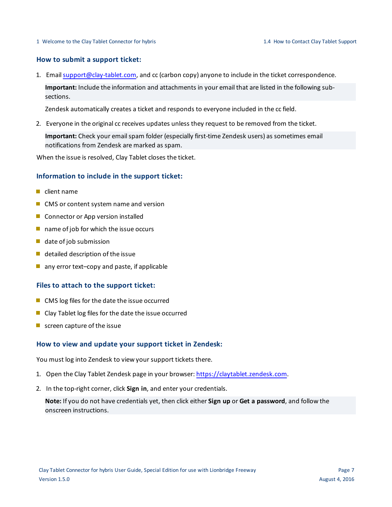### **How to submit a support ticket:**

1. Email [support@clay-tablet.com](mailto:support@clay-tablet.com), and cc (carbon copy) anyone to include in the ticket correspondence.

**Important:** Include the information and attachments in your email that are listed in the following subsections.

Zendesk automatically creates a ticket and responds to everyone included in the cc field.

2. Everyone in the original cc receives updates unless they request to be removed from the ticket.

Important: Check your email spam folder (especially first-time Zendesk users) as sometimes email notifications from Zendesk are marked as spam.

When the issue is resolved, Clay Tablet closes the ticket.

### **Information to include in the support ticket:**

- client name
- CMS or content system name and version
- Connector or App version installed
- $\blacksquare$  name of job for which the issue occurs
- $\blacksquare$  date of job submission
- $\blacksquare$  detailed description of the issue
- $\blacksquare$  any error text–copy and paste, if applicable

### **Files to attach to the support ticket:**

- CMS log files for the date the issue occurred
- Clay Tablet log files for the date the issue occurred
- $\blacksquare$  screen capture of the issue

### **How to view and update your support ticket in Zendesk:**

You must log into Zendesk to view your support tickets there.

- 1. Open the Clay Tablet Zendesk page in your browser: [https://claytablet.zendesk.com](https://claytablet.zendesk.com/).
- 2. In the top-right corner, click **Sign in**, and enter your credentials.

**Note:** If you do not have credentials yet, then click either **Sign up** or **Get a password**, and follow the onscreen instructions.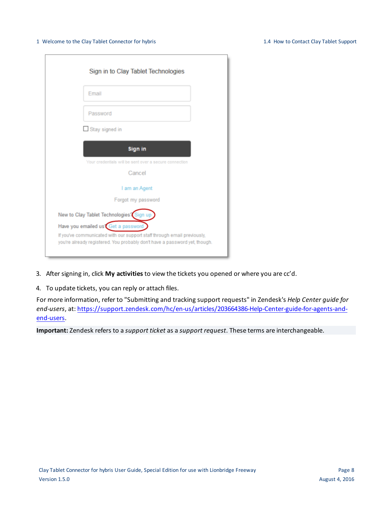### 1 Welcome to the Clay Tablet Connector for hybris 1.4 How to Contact Clay Tablet Support

| Sign in to Clay Tablet Technologies                                                                                                                   |
|-------------------------------------------------------------------------------------------------------------------------------------------------------|
| Email                                                                                                                                                 |
| Password                                                                                                                                              |
| $\Box$ Stay signed in                                                                                                                                 |
| Sign in                                                                                                                                               |
| Your credentials will be sent over a secure connection                                                                                                |
| Cancel                                                                                                                                                |
| I am an Agent                                                                                                                                         |
| Forgot my password                                                                                                                                    |
| New to Clay Tablet Technologies? Sign up                                                                                                              |
| Have you emailed us Get a password                                                                                                                    |
| If you've communicated with our support staff through email previously,<br>you're already registered. You probably don't have a password yet, though. |

- 3. After signing in, click **My activities** to view the tickets you opened or where you are cc'd.
- 4. To update tickets, you can reply or attach files.

For more information, refer to "Submitting and tracking support requests" in Zendesk's *Help Center guide for end-users*, at: [https://support.zendesk.com/hc/en-us/articles/203664386-Help-Center-guide-for-agents-and](https://support.zendesk.com/hc/en-us/articles/203664386-Help-Center-guide-for-agents-and-end-users)[end-users](https://support.zendesk.com/hc/en-us/articles/203664386-Help-Center-guide-for-agents-and-end-users).

**Important:** Zendesk refers to a *support ticket* as a *support request*. These terms are interchangeable.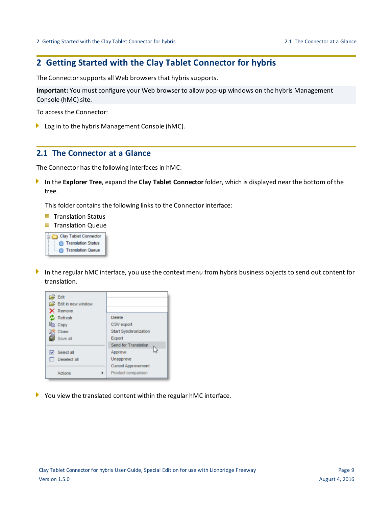# <span id="page-8-0"></span>**2 Getting Started with the Clay Tablet Connector for hybris**

The Connector supports all Web browsers that hybris supports.

**Important:** You must configure your Web browser to allow pop-up windows on the hybris Management Console (hMC) site.

To access the Connector:

<span id="page-8-1"></span>**Log in to the hybris Management Console (hMC).** 

## **2.1 The Connector at a Glance**

The Connector has the following interfaces in hMC:

In the **Explorer Tree**, expand the **Clay Tablet Connector** folder, which is displayed near the bottom of the tree.

This folder contains the following links to the Connector interface:

- **Translation Status**
- **Translation Queue**



In the regular hMC interface, you use the context menu from hybris business objects to send out content for translation.



You view the translated content within the regular hMC interface.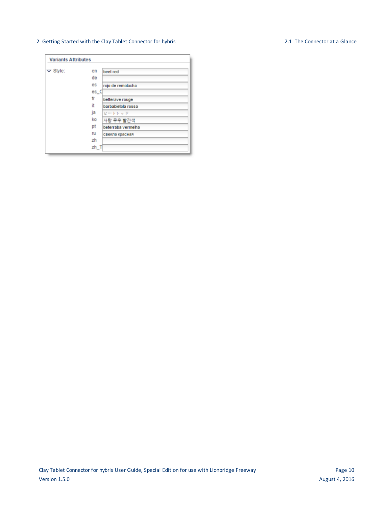### 2 Getting Started with the Clay Tablet Connector for hybris 2.1 The Connector at a Glance

### **Variants Attributes**  $\blacktriangledown$  Style: en beet red de es rojo de remolacha  $es_C$ fr betterave rouge it barbabietola rossa ja ビートレッド ko 사탕 무우 빨간색 pt beterraba vermelha ru свекла красная zh  $zh_T$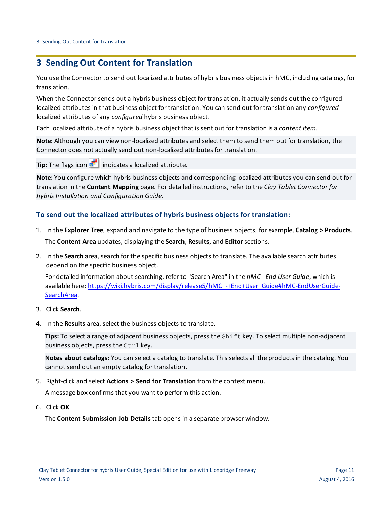# <span id="page-10-0"></span>**3 Sending Out Content for Translation**

You use the Connector to send out localized attributes of hybris business objects in hMC, including catalogs, for translation.

When the Connector sends out a hybris business object for translation, it actually sends out the configured localized attributes in that business object for translation. You can send out for translation any *configured* localized attributes of any *configured* hybris business object.

Each localized attribute of a hybris business object that is sent out for translation is a *content item*.

**Note:** Although you can view non-localized attributes and select them to send them out for translation, the Connector does not actually send out non-localized attributes for translation.

**Tip:** The flags icon **indicates a localized attribute.** 

**Note:** You configure which hybris business objects and corresponding localized attributes you can send out for translation in the **Content Mapping** page. For detailed instructions, refer to the *Clay Tablet Connector for hybris Installation and Configuration Guide*.

### **To send out the localized attributes of hybris business objects for translation:**

- 1. In the **Explorer Tree**, expand and navigate to the type of business objects, for example, **Catalog > Products**. The **Content Area** updates, displaying the **Search**, **Results**, and **Editor**sections.
- 2. In the **Search** area, search for the specific business objects to translate. The available search attributes depend on the specific business object.

For detailed information about searching, refer to "Search Area" in the *hMC - End User Guide*, which is available here: [https://wiki.hybris.com/display/release5/hMC+-+End+User+Guide#hMC-EndUserGuide-](https://wiki.hybris.com/display/release5/hMC+-+End+User+Guide#hMC-EndUserGuide-SearchArea)[SearchArea.](https://wiki.hybris.com/display/release5/hMC+-+End+User+Guide#hMC-EndUserGuide-SearchArea)

- 3. Click **Search**.
- 4. In the **Results** area, select the business objects to translate.

**Tips:** To select a range of adjacent business objects, press the Shift key. To select multiple non-adjacent business objects, press the Ctrl key.

**Notes about catalogs:** You can select a catalog to translate. This selects all the products in the catalog. You cannot send out an empty catalog for translation.

5. Right-click and select **Actions > Send for Translation** from the context menu.

A message box confirms that you want to perform this action.

6. Click **OK**.

The **Content Submission Job Details** tab opens in a separate browser window.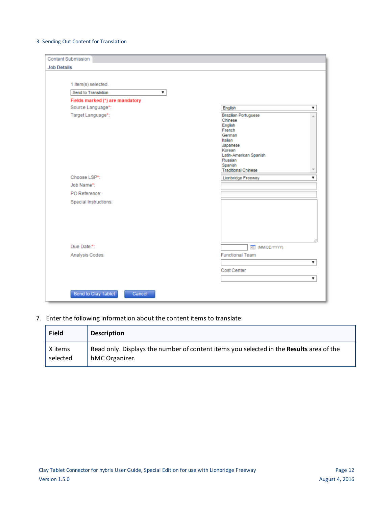### 3 Sending Out Content for Translation

| <b>Content Submission</b>       |                                                                                                                                                                                      |    |
|---------------------------------|--------------------------------------------------------------------------------------------------------------------------------------------------------------------------------------|----|
| <b>Job Details</b>              |                                                                                                                                                                                      |    |
|                                 |                                                                                                                                                                                      |    |
| 1 Item(s) selected.             |                                                                                                                                                                                      |    |
| Send to Translation<br>▼        |                                                                                                                                                                                      |    |
| Fields marked (*) are mandatory |                                                                                                                                                                                      |    |
| Source Language*:               | English                                                                                                                                                                              |    |
| Target Language*:               | <b>Brazilian Portuguese</b><br>Chinese<br>English<br>French<br>German<br>Italian<br>Japanese<br>Korean<br>Latin-American Spanish<br>Russian<br>Spanish<br><b>Traditional Chinese</b> |    |
| Choose LSP*:                    | Lionbridge Freeway                                                                                                                                                                   |    |
| Job Name*:                      |                                                                                                                                                                                      |    |
| PO Reference:                   |                                                                                                                                                                                      |    |
| Special Instructions:           |                                                                                                                                                                                      |    |
| Due Date:*:                     | <b>REE (MM/DD/YYYY)</b>                                                                                                                                                              |    |
| Analysis Codes:                 | <b>Functional Team</b>                                                                                                                                                               |    |
|                                 |                                                                                                                                                                                      | ۷. |
|                                 | Cost Center                                                                                                                                                                          |    |
|                                 |                                                                                                                                                                                      |    |
| Send to Clay Tablet<br>Cancel   |                                                                                                                                                                                      |    |

7. Enter the following information about the content items to translate:

| <b>Field</b> | <b>Description</b>                                                                             |
|--------------|------------------------------------------------------------------------------------------------|
| X items      | Read only. Displays the number of content items you selected in the <b>Results</b> area of the |
| selected     | hMC Organizer.                                                                                 |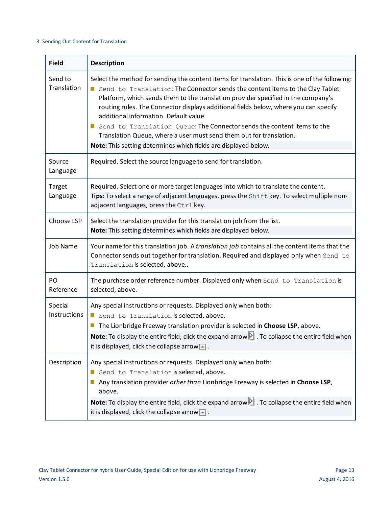### 3 Sending Out Content for Translation

| <b>Field</b>            | <b>Description</b>                                                                                                                                                                                                                                                                                                                                                                                                                                                                                                                                                                                                          |
|-------------------------|-----------------------------------------------------------------------------------------------------------------------------------------------------------------------------------------------------------------------------------------------------------------------------------------------------------------------------------------------------------------------------------------------------------------------------------------------------------------------------------------------------------------------------------------------------------------------------------------------------------------------------|
| Send to<br>Translation  | Select the method for sending the content items for translation. This is one of the following:<br>Send to Translation: The Connector sends the content items to the Clay Tablet<br>Platform, which sends them to the translation provider specified in the company's<br>routing rules. The Connector displays additional fields below, where you can specify<br>additional information. Default value.<br>Send to Translation Queue: The Connector sends the content items to the<br>Translation Queue, where a user must send them out for translation.<br>Note: This setting determines which fields are displayed below. |
| Source<br>Language      | Required. Select the source language to send for translation.                                                                                                                                                                                                                                                                                                                                                                                                                                                                                                                                                               |
| Target<br>Language      | Required. Select one or more target languages into which to translate the content.<br>Tips: To select a range of adjacent languages, press the Shift key. To select multiple non-<br>adjacent languages, press the Ctrl key.                                                                                                                                                                                                                                                                                                                                                                                                |
| Choose LSP              | Select the translation provider for this translation job from the list.<br>Note: This setting determines which fields are displayed below.                                                                                                                                                                                                                                                                                                                                                                                                                                                                                  |
| <b>Job Name</b>         | Your name for this translation job. A translation job contains all the content items that the<br>Connector sends out together for translation. Required and displayed only when Send to<br>Translation is selected, above                                                                                                                                                                                                                                                                                                                                                                                                   |
| PO<br>Reference         | The purchase order reference number. Displayed only when Send to Translation is<br>selected, above.                                                                                                                                                                                                                                                                                                                                                                                                                                                                                                                         |
| Special<br>Instructions | Any special instructions or requests. Displayed only when both:<br>Send to Translation is selected, above.<br>$\Box$<br>The Lionbridge Freeway translation provider is selected in Choose LSP, above.<br>ш<br>Note: To display the entire field, click the expand arrow $\blacktriangleright$ . To collapse the entire field when<br>it is displayed, click the collapse arrow $\blacksquare$ .                                                                                                                                                                                                                             |
| Description             | Any special instructions or requests. Displayed only when both:<br>Send to Translation is selected, above.<br>Any translation provider other than Lionbridge Freeway is selected in Choose LSP,<br>above.<br>Note: To display the entire field, click the expand arrow <b>ID</b> . To collapse the entire field when<br>it is displayed, click the collapse arrow $\Box$ .                                                                                                                                                                                                                                                  |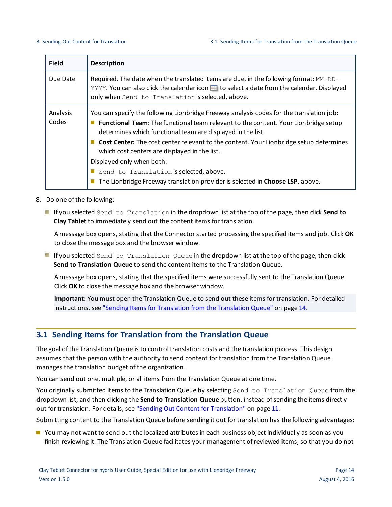| <b>Field</b>      | <b>Description</b>                                                                                                                                                                                                                                                                                                                                                                                                                                                                                                                                        |
|-------------------|-----------------------------------------------------------------------------------------------------------------------------------------------------------------------------------------------------------------------------------------------------------------------------------------------------------------------------------------------------------------------------------------------------------------------------------------------------------------------------------------------------------------------------------------------------------|
| Due Date          | Required. The date when the translated items are due, in the following format: MM-DD-<br>YYYY. You can also click the calendar icon <b>EXEC 10 Select a date from the calendar. Displayed</b><br>only when Send to Translation is selected, above.                                                                                                                                                                                                                                                                                                        |
| Analysis<br>Codes | You can specify the following Lionbridge Freeway analysis codes for the translation job:<br><b>Functional Team:</b> The functional team relevant to the content. Your Lionbridge setup<br>determines which functional team are displayed in the list.<br>Cost Center: The cost center relevant to the content. Your Lionbridge setup determines<br>which cost centers are displayed in the list.<br>Displayed only when both:<br>Send to Translation is selected, above.<br>The Lionbridge Freeway translation provider is selected in Choose LSP, above. |

- 8. Do one of the following:
	- If you selected Send to Translation in the dropdown list at the top of the page, then click **Send to Clay Tablet** to immediately send out the content items for translation.

A message box opens, stating that the Connector started processing the specified items and job. Click **OK** to close the message box and the browser window.

If you selected Send to Translation Queue in the dropdown list at the top of the page, then click **Send to Translation Queue** to send the content items to the Translation Queue.

A message box opens, stating that the specified items were successfully sent to the Translation Queue. Click **OK** to close the message box and the browser window.

**Important:** You must open the Translation Queue to send out these items for translation. For detailed instructions, see "Sending Items for [Translation](#page-13-0) from the Translation Queue" on page 14.

# <span id="page-13-0"></span>**3.1 Sending Items for Translation from the Translation Queue**

The goal of the Translation Queue is to control translation costs and the translation process. This design assumes that the person with the authority to send content for translation from the Translation Queue manages the translation budget of the organization.

You can send out one, multiple, or all items from the Translation Queue at one time.

You originally submitted items to the Translation Queue by selecting Send to Translation Queue from the dropdown list, and then clicking the **Send to Translation Queue** button, instead ofsending the items directly out for translation. For details, see "Sending Out Content for [Translation"](#page-10-0) on page 11.

Submitting content to the Translation Queue before sending it out for translation has the following advantages:

**P** You may not want to send out the localized attributes in each business object individually as soon as you finish reviewing it. The Translation Queue facilitates your management ofreviewed items, so that you do not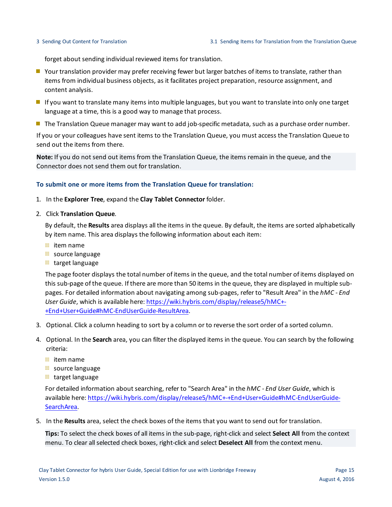forget about sending individual reviewed items for translation.

- Your translation provider may prefer receiving fewer but larger batches of items to translate, rather than items from individual business objects, as it facilitates project preparation, resource assignment, and content analysis.
- If you want to translate many items into multiple languages, but you want to translate into only one target language at a time, this is a good way to manage that process.
- **The Translation Queue manager may want to add job-specific metadata, such as a purchase order number.**

If you or your colleagues have sent items to the Translation Queue, you must access the Translation Queue to send out the items from there.

**Note:** If you do not send out items from the Translation Queue, the items remain in the queue, and the Connector does not send them out for translation.

### **To submit one or more items from the Translation Queue for translation:**

- 1. In the **Explorer Tree**, expand the **Clay Tablet Connector** folder.
- 2. Click **Translation Queue**.

By default, the **Results** area displays all the items in the queue. By default, the items are sorted alphabetically by item name. This area displays the following information about each item:

- $\equiv$  item name
- source language
- target language

The page footer displays the total number of items in the queue, and the total number of items displayed on this sub-page of the queue. If there are more than 50 items in the queue, they are displayed in multiple subpages. For detailed information about navigating among sub-pages, refer to "Result Area" in the *hMC - End User Guide*, which is available here: [https://wiki.hybris.com/display/release5/hMC+-](https://wiki.hybris.com/display/release5/hMC+-+End+User+Guide#hMC-EndUserGuide-ResultArea) [+End+User+Guide#hMC-EndUserGuide-ResultArea.](https://wiki.hybris.com/display/release5/hMC+-+End+User+Guide#hMC-EndUserGuide-ResultArea)

- 3. Optional. Click a column heading to sort by a column or to reverse the sort order of a sorted column.
- 4. Optional. In the **Search** area, you can filter the displayed items in the queue. You can search by the following criteria:
	- $\equiv$  item name
	- source language
	- target language

For detailed information about searching, refer to "Search Area" in the *hMC - End User Guide*, which is available here: [https://wiki.hybris.com/display/release5/hMC+-+End+User+Guide#hMC-EndUserGuide-](https://wiki.hybris.com/display/release5/hMC+-+End+User+Guide#hMC-EndUserGuide-SearchArea)[SearchArea.](https://wiki.hybris.com/display/release5/hMC+-+End+User+Guide#hMC-EndUserGuide-SearchArea)

5. In the **Results** area, select the check boxes of the items that you want to send out for translation.

**Tips:** To select the check boxes of all items in the sub-page, right-click and select **Select All** from the context menu. To clear allselected check boxes, right-click and select **Deselect All** from the context menu.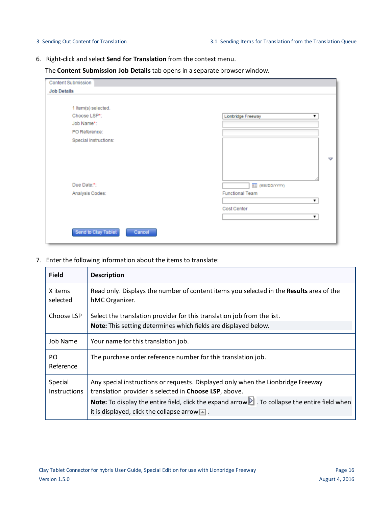6. Right-click and select **Send for Translation** from the context menu.

The **Content Submission Job Details** tab opens in a separate browser window.

| Content Submission            |                         |
|-------------------------------|-------------------------|
| <b>Job Details</b>            |                         |
|                               |                         |
| 1 Item(s) selected.           |                         |
| Choose LSP*:                  | Lionbridge Freeway      |
| Job Name*:                    |                         |
| PO Reference:                 |                         |
| Special Instructions:         |                         |
|                               |                         |
|                               | v                       |
|                               |                         |
|                               |                         |
|                               |                         |
| Due Date:*:                   | <b>REE</b> (MM/DD/YYYY) |
| Analysis Codes:               | <b>Functional Team</b>  |
|                               |                         |
|                               | Cost Center             |
|                               | ۷                       |
|                               |                         |
| Send to Clay Tablet<br>Cancel |                         |
|                               |                         |

7. Enter the following information about the items to translate:

| <b>Field</b>                   | <b>Description</b>                                                                                                                                                                |
|--------------------------------|-----------------------------------------------------------------------------------------------------------------------------------------------------------------------------------|
| X items<br>selected            | Read only. Displays the number of content items you selected in the Results area of the<br>hMC Organizer.                                                                         |
| Choose LSP                     | Select the translation provider for this translation job from the list.<br>Note: This setting determines which fields are displayed below.                                        |
| <b>Job Name</b>                | Your name for this translation job.                                                                                                                                               |
| P <sub>O</sub><br>Reference    | The purchase order reference number for this translation job.                                                                                                                     |
| Special<br><b>Instructions</b> | Any special instructions or requests. Displayed only when the Lionbridge Freeway<br>translation provider is selected in Choose LSP, above.                                        |
|                                | <b>Note:</b> To display the entire field, click the expand arrow $\blacksquare$ . To collapse the entire field when<br>it is displayed, click the collapse arrow $\blacksquare$ . |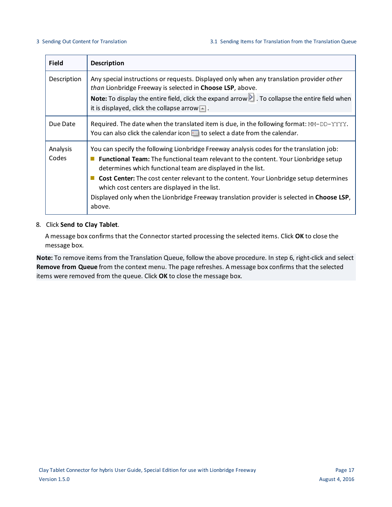| <b>Field</b>      | <b>Description</b>                                                                                                                                                                                                                                                                                                                                                                                                                                                                                              |
|-------------------|-----------------------------------------------------------------------------------------------------------------------------------------------------------------------------------------------------------------------------------------------------------------------------------------------------------------------------------------------------------------------------------------------------------------------------------------------------------------------------------------------------------------|
| Description       | Any special instructions or requests. Displayed only when any translation provider other<br>than Lionbridge Freeway is selected in Choose LSP, above.                                                                                                                                                                                                                                                                                                                                                           |
|                   | Note: To display the entire field, click the expand arrow $\blacksquare$ . To collapse the entire field when<br>it is displayed, click the collapse arrow $\blacksquare$ .                                                                                                                                                                                                                                                                                                                                      |
| Due Date          | Required. The date when the translated item is due, in the following format: MM-DD-YYYY.<br>You can also click the calendar icon <b>Fig.</b> to select a date from the calendar.                                                                                                                                                                                                                                                                                                                                |
| Analysis<br>Codes | You can specify the following Lionbridge Freeway analysis codes for the translation job:<br><b>Functional Team:</b> The functional team relevant to the content. Your Lionbridge setup<br>determines which functional team are displayed in the list.<br><b>Cost Center:</b> The cost center relevant to the content. Your Lionbridge setup determines<br>which cost centers are displayed in the list.<br>Displayed only when the Lionbridge Freeway translation provider is selected in Choose LSP,<br>above. |

### 8. Click **Send to Clay Tablet**.

A message box confirms that the Connector started processing the selected items. Click **OK** to close the message box.

**Note:** To remove items from the Translation Queue, follow the above procedure. In step 6, right-click and select **Remove from Queue** from the context menu. The page refreshes. A message box confirms that the selected items were removed from the queue. Click **OK** to close the message box.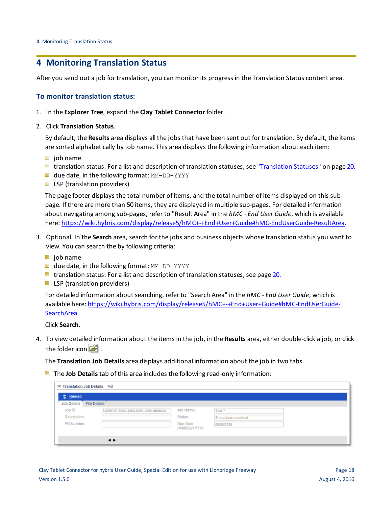# <span id="page-17-0"></span>**4 Monitoring Translation Status**

After you send out a job for translation, you can monitor its progress in the Translation Status content area.

### **To monitor translation status:**

- 1. In the **Explorer Tree**, expand the **Clay Tablet Connector** folder.
- 2. Click **Translation Status**.

By default, the **Results** area displays all the jobs that have been sent out for translation. By default, the items are sorted alphabetically by job name. This area displays the following information about each item:

- $\equiv$  job name
- $\equiv$  translation status. For a list and description of translation statuses, see ["Translation](#page-19-0) Statuses" on page 20.
- **u** due date, in the following format: MM-DD-YYYY
- $\equiv$  LSP (translation providers)

The page footer displays the total number of items, and the total number of items displayed on this subpage. If there are more than 50 items, they are displayed in multiple sub-pages. For detailed information about navigating among sub-pages, refer to "Result Area" in the *hMC - End User Guide*, which is available here: <https://wiki.hybris.com/display/release5/hMC+-+End+User+Guide#hMC-EndUserGuide-ResultArea>.

- 3. Optional. In the **Search** area, search for the jobs and business objects whose translation status you want to view. You can search the by following criteria:
	- $\equiv$  job name
	- **due date, in the following format: MM-DD-YYYY**
	- $\equiv$  translation status: For a list and description of translation statuses, see [page](#page-19-0) 20.
	- $\equiv$  LSP (translation providers)

For detailed information about searching, refer to "Search Area" in the *hMC - End User Guide*, which is available here: [https://wiki.hybris.com/display/release5/hMC+-+End+User+Guide#hMC-EndUserGuide-](https://wiki.hybris.com/display/release5/hMC+-+End+User+Guide#hMC-EndUserGuide-SearchArea)[SearchArea.](https://wiki.hybris.com/display/release5/hMC+-+End+User+Guide#hMC-EndUserGuide-SearchArea)

Click **Search**.

4. To view detailed information about the items in the job, in the **Results** area, either double-click a job, or click the folder icon  $\mathbb{E}$ .

The **Translation Job Details** area displays additional information about the job in two tabs.

The **Job Details** tab of this area includes the following read-only information:

| <b>の Reload</b>                           |                                      |                           |                      |  |
|-------------------------------------------|--------------------------------------|---------------------------|----------------------|--|
| <b>File Details</b><br><b>Job Details</b> |                                      |                           |                      |  |
| Job ID:                                   | 8a6357e7-565c-4303-9251-2b5c1dfdbb0d | Job Name:                 | Test 7               |  |
| Description:                              |                                      | Status:                   | Translation received |  |
| PO Number:                                |                                      | Due Date<br>(MM/DD/YYYY): | 08/30/2015           |  |
|                                           |                                      |                           |                      |  |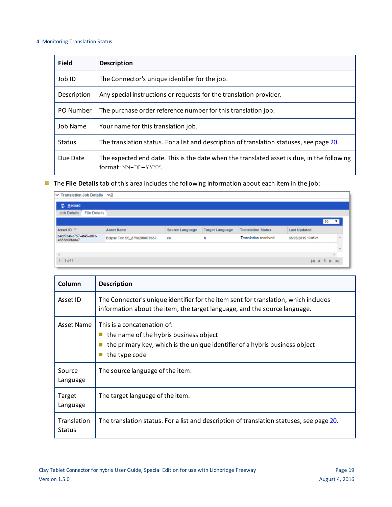### 4 Monitoring Translation Status

| <b>Field</b>    | <b>Description</b>                                                                                                |  |  |
|-----------------|-------------------------------------------------------------------------------------------------------------------|--|--|
| Job ID          | The Connector's unique identifier for the job.                                                                    |  |  |
| Description     | Any special instructions or requests for the translation provider.                                                |  |  |
| PO Number       | The purchase order reference number for this translation job.                                                     |  |  |
| <b>Job Name</b> | Your name for this translation job.                                                                               |  |  |
| <b>Status</b>   | The translation status. For a list and description of translation statuses, see page 20.                          |  |  |
| Due Date        | The expected end date. This is the date when the translated asset is due, in the following<br>format: MM-DD-YYYY. |  |  |

The **File Details** tab of this area includes the following information about each item in the job:

| ▽ Translation Job Details ▽ a            |                                                                                                                    |    |    |                             |                     |                                |  |
|------------------------------------------|--------------------------------------------------------------------------------------------------------------------|----|----|-----------------------------|---------------------|--------------------------------|--|
| <b>之 Reload</b>                          | <b>Job Details</b><br><b>File Details</b>                                                                          |    |    |                             |                     |                                |  |
|                                          |                                                                                                                    |    |    |                             |                     |                                |  |
|                                          |                                                                                                                    |    |    |                             |                     | $50 - 7$                       |  |
| Asset ID $\overline{\phantom{a}}$        | <b>Translation Status</b><br><b>Asset Name</b><br>Source Language<br><b>Target Language</b><br><b>Last Updated</b> |    |    |                             |                     |                                |  |
| b4bf934f-c757-4f45-af01-<br>4683d08fada7 | Eclipse Tee SS_8796208070657                                                                                       | en | fr | <b>Translation received</b> | 08/05/2015 10:05:21 |                                |  |
|                                          |                                                                                                                    |    |    |                             |                     |                                |  |
|                                          |                                                                                                                    |    |    |                             |                     |                                |  |
| $1 - 1$ of 1                             |                                                                                                                    |    |    |                             |                     | $M \ll 1$ $\triangleright$ $M$ |  |

| Column                       | <b>Description</b>                                                                                                                                                              |
|------------------------------|---------------------------------------------------------------------------------------------------------------------------------------------------------------------------------|
| Asset ID                     | The Connector's unique identifier for the item sent for translation, which includes<br>information about the item, the target language, and the source language.                |
| Asset Name                   | This is a concatenation of:<br>the name of the hybris business object<br>$\Box$<br>the primary key, which is the unique identifier of a hybris business object<br>the type code |
| Source<br>Language           | The source language of the item.                                                                                                                                                |
| Target<br>Language           | The target language of the item.                                                                                                                                                |
| Translation<br><b>Status</b> | The translation status. For a list and description of translation statuses, see page 20.                                                                                        |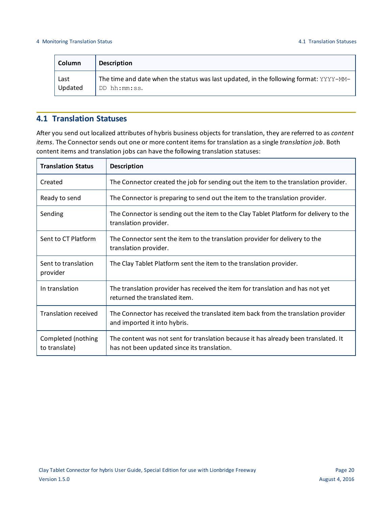| <b>Column</b> | <b>Description</b>                                                                    |
|---------------|---------------------------------------------------------------------------------------|
| Last          | The time and date when the status was last updated, in the following format: YYYY-MM- |
| Updated       | DD hh:mm:ss.                                                                          |

# <span id="page-19-0"></span>**4.1 Translation Statuses**

After you send out localized attributes of hybris business objects for translation, they are referred to as *content items*. The Connector sends out one or more content items for translation as a single *translation job*. Both content items and translation jobs can have the following translation statuses:

| <b>Translation Status</b>           | <b>Description</b>                                                                                                                 |
|-------------------------------------|------------------------------------------------------------------------------------------------------------------------------------|
| Created                             | The Connector created the job for sending out the item to the translation provider.                                                |
| Ready to send                       | The Connector is preparing to send out the item to the translation provider.                                                       |
| Sending                             | The Connector is sending out the item to the Clay Tablet Platform for delivery to the<br>translation provider.                     |
| Sent to CT Platform                 | The Connector sent the item to the translation provider for delivery to the<br>translation provider.                               |
| Sent to translation<br>provider     | The Clay Tablet Platform sent the item to the translation provider.                                                                |
| In translation                      | The translation provider has received the item for translation and has not yet<br>returned the translated item.                    |
| <b>Translation received</b>         | The Connector has received the translated item back from the translation provider<br>and imported it into hybris.                  |
| Completed (nothing<br>to translate) | The content was not sent for translation because it has already been translated. It<br>has not been updated since its translation. |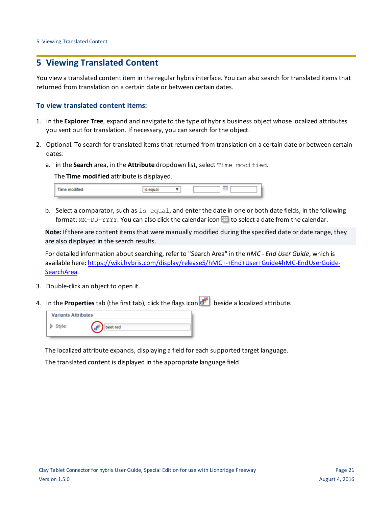# <span id="page-20-0"></span>**5 Viewing Translated Content**

You view a translated content item in the regular hybris interface. You can also search for translated items that returned from translation on a certain date or between certain dates.

### **To view translated content items:**

- 1. In the **Explorer Tree**, expand and navigate to the type of hybris business object whose localized attributes you sent out for translation. If necessary, you can search for the object.
- 2. Optional. To search for translated items that returned from translation on a certain date or between certain dates:
	- a. in the **Search** area, in the **Attribute** dropdown list, select Time modified.

The **Time modified** attribute is displayed.

| <b>Time modified</b> |  |  |
|----------------------|--|--|
|                      |  |  |

b. Select a comparator, such as is equal, and enter the date in one or both date fields, in the following format: MM-DD-YYYY. You can also click the calendar icon **III** to select a date from the calendar.

**Note:** If there are content items that were manually modified during the specified date or date range, they are also displayed in the search results.

For detailed information about searching, refer to "Search Area" in the *hMC - End User Guide*, which is available here: [https://wiki.hybris.com/display/release5/hMC+-+End+User+Guide#hMC-EndUserGuide-](https://wiki.hybris.com/display/release5/hMC+-+End+User+Guide#hMC-EndUserGuide-SearchArea)[SearchArea.](https://wiki.hybris.com/display/release5/hMC+-+End+User+Guide#hMC-EndUserGuide-SearchArea)

- 3. Double-click an object to open it.
- 4. In the **Properties** tab (the first tab), click the flags icon **be let us** beside a localized attribute.

| <b>Variants Attributes</b> |        |  |  |  |
|----------------------------|--------|--|--|--|
| Style:                     | et red |  |  |  |

The localized attribute expands, displaying a field for each supported target language.

The translated content is displayed in the appropriate language field.